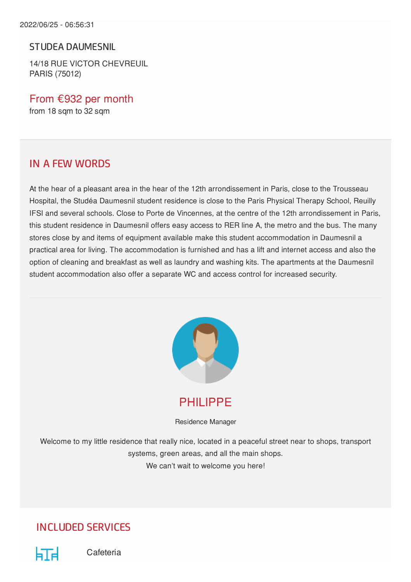#### STUDEA DAUMESNIL

14/18 RUE VICTOR CHEVREUIL PARIS (75012)

From €932 per month from 18 sqm to 32 sqm

### IN A FEW WORDS

At the hear of a pleasant area in the hear of the 12th arrondissement in Paris, close to the Trousseau Hospital, the Studéa Daumesnil student residence is close to the Paris Physical Therapy School, Reuilly IFSI and several schools. Close to Porte de Vincennes, at the centre of the 12th arrondissement in Paris, this student residence in Daumesnil offers easy access to RER line A, the metro and the bus. The many stores close by and items of equipment available make this student accommodation in Daumesnil a practical area for living. The accommodation is furnished and has a lift and internet access and also the option of cleaning and breakfast as well as laundry and washing kits. The apartments at the Daumesnil student accommodation also offer a separate WC and access control for increased security.



PHILIPPE

Residence Manager

Welcome to my little residence that really nice, located in a peaceful street near to shops, transport systems, green areas, and all the main shops. We can't wait to welcome you here!

## INCLUDED SERVICES



Cafeteria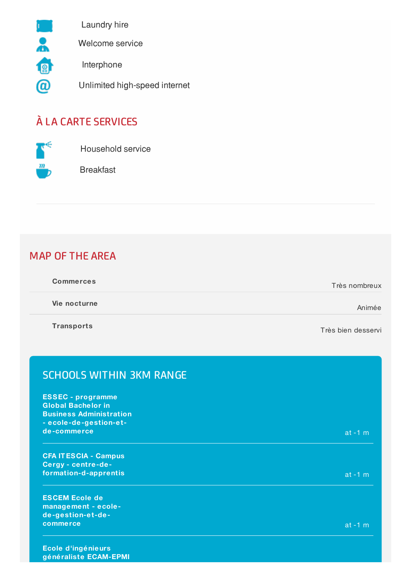

Laundry hire

Welcome service

Interphone

Unlimited high-speed internet

# À LA CARTE SERVICES



Household service

Breakfast

## MAP OF THE AREA

| <b>Commerces</b> | Très nombreux |
|------------------|---------------|
|                  |               |

**Vie nocturne** Animée

**Transports**

Très bien desservi

| <b>SCHOOLS WITHIN 3KM RANGE</b>                                                                                   |           |
|-------------------------------------------------------------------------------------------------------------------|-----------|
| <b>ESSEC</b> - programme<br><b>Global Bachelor in</b><br><b>Business Administration</b><br>- ecole-de-gestion-et- |           |
| de-commerce                                                                                                       | $at -1 m$ |
| <b>CFA IT ESCIA - Campus</b><br>Cergy - centre-de-                                                                |           |
| formation-d-apprentis                                                                                             | $at -1 m$ |
| <b>ESCEM Ecole de</b><br>management - ecole-<br>de-gestion-et-de-                                                 |           |
| commerce                                                                                                          | at $-1$ m |

**Ecole d'ingénieurs généraliste ECAM-EPMI**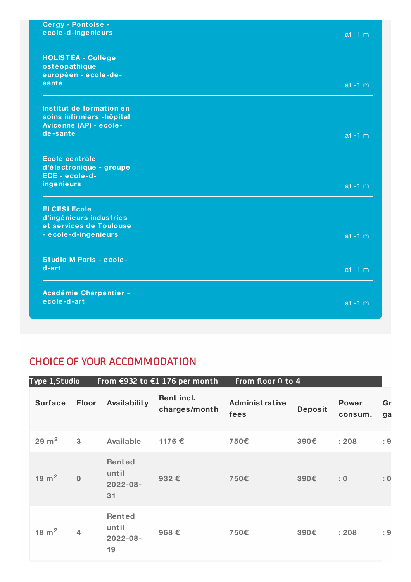| <b>Cergy - Pontoise -</b>             |            |
|---------------------------------------|------------|
| ecole-d-ingenieurs                    | $at -1 m$  |
|                                       |            |
| <b>HOLISTÉA - Collège</b>             |            |
| ostéopathique                         |            |
| européen - ecole-de-                  |            |
| sante                                 | $at -1 m$  |
|                                       |            |
| Institut de formation en              |            |
| soins infirmiers -hôpital             |            |
| Avicenne (AP) - ecole-<br>de-sante    |            |
|                                       | $at -1 m$  |
|                                       |            |
| <b>Ecole centrale</b>                 |            |
| d'électronique - groupe               |            |
| ECE - ecole-d-                        |            |
| ingenieurs                            | $at - 1 m$ |
| <b>El CESI Ecole</b>                  |            |
| d'ingénieurs industries               |            |
| et services de Toulouse               |            |
| - ecole-d-ingenieurs                  | $at -1 m$  |
|                                       |            |
| <b>Studio M Paris - ecole-</b>        |            |
| d-art                                 | $at -1 m$  |
|                                       |            |
|                                       |            |
| Académie Charpentier -<br>ecole-d-art |            |
|                                       | $at -1 m$  |
|                                       |            |

## CHOICE OF YOUR ACCOMMODATION

| Type 1, Studio $-$ From €932 to €1 176 per month $-$ From floor 0 to 4 |                |                                               |                             |                        |                |                         |          |
|------------------------------------------------------------------------|----------------|-----------------------------------------------|-----------------------------|------------------------|----------------|-------------------------|----------|
| <b>Surface</b>                                                         | <b>Floor</b>   | Availability                                  | Rent incl.<br>charges/month | Administrative<br>fees | <b>Deposit</b> | <b>Power</b><br>consum. | Gr<br>ga |
| $29 \text{ m}^2$                                                       | $\mathbf{3}$   | <b>Available</b>                              | 1176€                       | 750€                   | 390€           | : 208                   | : 9      |
| $19 \text{ m}^2$                                                       | $\overline{0}$ | <b>Rented</b><br>until<br>$2022 - 08 -$<br>31 | 932€                        | 750€                   | 390€           | : 0                     | : 0      |
| $18 \text{ m}^2$                                                       | 4              | Rented<br>until<br>2022-08-<br>19             | 968€                        | 750€                   | 390€           | : 208                   | : 9      |